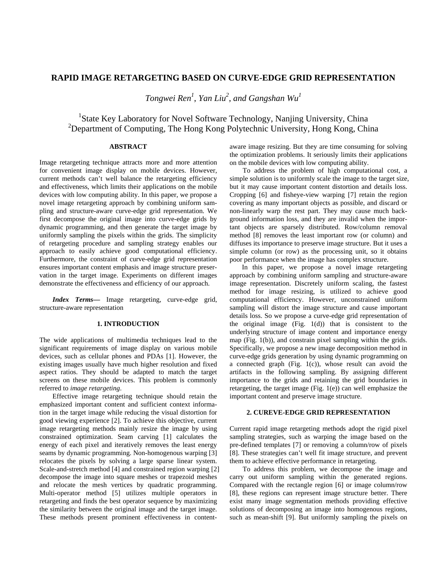# **RAPID IMAGE RETARGETING BASED ON CURVE-EDGE GRID REPRESENTATION**

*Tongwei Ren1* , *Yan Liu<sup>2</sup>* , *and Gangshan Wu1*

<sup>1</sup>State Key Laboratory for Novel Software Technology, Nanjing University, China <sup>2</sup>Department of Computing, The Hong Kong Polytechnic University, Hong Kong, China

## **ABSTRACT**

Image retargeting technique attracts more and more attention for convenient image display on mobile devices. However, current methods can't well balance the retargeting efficiency and effectiveness, which limits their applications on the mobile devices with low computing ability. In this paper, we propose a novel image retargeting approach by combining uniform sampling and structure-aware curve-edge grid representation. We first decompose the original image into curve-edge grids by dynamic programming, and then generate the target image by uniformly sampling the pixels within the grids. The simplicity of retargeting procedure and sampling strategy enables our approach to easily achieve good computational efficiency. Furthermore, the constraint of curve-edge grid representation ensures important content emphasis and image structure preservation in the target image. Experiments on different images demonstrate the effectiveness and efficiency of our approach.

*Index Terms—* Image retargeting, curve-edge grid, structure-aware representation

#### **1. INTRODUCTION**

The wide applications of multimedia techniques lead to the significant requirements of image display on various mobile devices, such as cellular phones and PDAs [1]. However, the existing images usually have much higher resolution and fixed aspect ratios. They should be adapted to match the target screens on these mobile devices. This problem is commonly referred to *image retargeting*.

Effective image retargeting technique should retain the emphasized important content and sufficient context information in the target image while reducing the visual distortion for good viewing experience [2]. To achieve this objective, current image retargeting methods mainly resize the image by using constrained optimization. Seam carving [1] calculates the energy of each pixel and iteratively removes the least energy seams by dynamic programming. Non-homogenous warping [3] relocates the pixels by solving a large sparse linear system. Scale-and-stretch method [4] and constrained region warping [2] decompose the image into square meshes or trapezoid meshes and relocate the mesh vertices by quadratic programming. Multi-operator method [5] utilizes multiple operators in retargeting and finds the best operator sequence by maximizing the similarity between the original image and the target image. These methods present prominent effectiveness in contentaware image resizing. But they are time consuming for solving the optimization problems. It seriously limits their applications on the mobile devices with low computing ability.

To address the problem of high computational cost, a simple solution is to uniformly scale the image to the target size, but it may cause important content distortion and details loss. Cropping [6] and fisheye-view warping [7] retain the region covering as many important objects as possible, and discard or non-linearly warp the rest part. They may cause much background information loss, and they are invalid when the important objects are sparsely distributed. Row/column removal method [8] removes the least important row (or column) and diffuses its importance to preserve image structure. But it uses a simple column (or row) as the processing unit, so it obtains poor performance when the image has complex structure.

In this paper, we propose a novel image retargeting approach by combining uniform sampling and structure-aware image representation. Discretely uniform scaling, the fastest method for image resizing, is utilized to achieve good computational efficiency. However, unconstrained uniform sampling will distort the image structure and cause important details loss. So we propose a curve-edge grid representation of the original image  $(Fig. 1(d))$  that is consistent to the underlying structure of image content and importance energy map (Fig. 1(b)), and constrain pixel sampling within the grids. Specifically, we propose a new image decomposition method in curve-edge grids generation by using dynamic programming on a connected graph (Fig. 1(c)), whose result can avoid the artifacts in the following sampling. By assigning different importance to the grids and retaining the grid boundaries in retargeting, the target image (Fig. 1(e)) can well emphasize the important content and preserve image structure.

### **2. CUREVE-EDGE GRID REPRESENTATION**

Current rapid image retargeting methods adopt the rigid pixel sampling strategies, such as warping the image based on the pre-defined templates [7] or removing a column/row of pixels [8]. These strategies can't well fit image structure, and prevent them to achieve effective performance in retargeting.

To address this problem, we decompose the image and carry out uniform sampling within the generated regions. Compared with the rectangle region [6] or image column/row [8], these regions can represent image structure better. There exist many image segmentation methods providing effective solutions of decomposing an image into homogenous regions, such as mean-shift [9]. But uniformly sampling the pixels on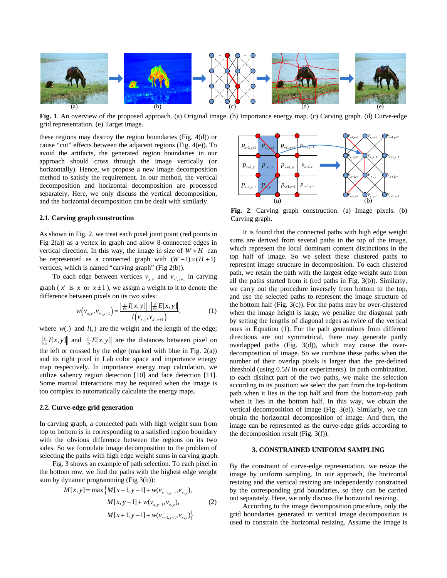

**Fig. 1**. An overview of the proposed approach. (a) Original image. (b) Importance energy map. (c) Carving graph. (d) Curve-edge grid representation. (e) Target image.

these regions may destroy the region boundaries (Fig. 4(d)) or cause "cut" effects between the adjacent regions (Fig. 4(e)). To avoid the artifacts, the generated region boundaries in our approach should cross through the image vertically (or horizontally). Hence, we propose a new image decomposition method to satisfy the requirement. In our method, the vertical decomposition and horizontal decomposition are processed separately. Here, we only discuss the vertical decomposition, and the horizontal decomposition can be dealt with similarly.

### **2.1. Carving graph construction**

As shown in Fig. 2, we treat each pixel joint point (red points in Fig 2(a)) as a vertex in graph and allow 8-connected edges in vertical direction. In this way, the image in size of  $W \times H$  can be represented as a connected graph with  $(W - 1) \times (H + 1)$ vertices, which is named "carving graph" (Fig 2(b)).

To each edge between vertices  $v_{x,y}$  and  $v_{x',y+1}$  in carving graph ( $x'$  is  $x$  or  $x \pm 1$ ), we assign a weight to it to denote the difference between pixels on its two sides:

$$
w(v_{x,y},v_{x',y+1}) = \frac{\left\|\frac{\partial}{\partial x}I[x,y]\right\| \cdot \left\|\frac{\partial}{\partial x}E[x,y]\right\|}{l(v_{x,y},v_{x',y+1})},\tag{1}
$$

where  $w(.)$  and  $l(.)$  are the weight and the length of the edge;  $\frac{\partial}{\partial x} I[x, y]$  and  $\left| \frac{\partial}{\partial x} E[x, y] \right|$  are the distances between pixel on the left or crossed by the edge (marked with blue in Fig.  $2(a)$ ) and its right pixel in Lab color space and importance energy map respectively. In importance energy map calculation, we utilize saliency region detection [10] and face detection [11]. Some manual interactions may be required when the image is too complex to automatically calculate the energy maps.

### **2.2. Curve-edge grid generation**

In carving graph, a connected path with high weight sum from top to bottom is in corresponding to a satisfied region boundary with the obvious difference between the regions on its two sides. So we formulate image decomposition to the problem of selecting the paths with high edge weight sums in carving graph.

Fig. 3 shows an example of path selection. To each pixel in the bottom row, we find the paths with the highest edge weight sum by dynamic programming (Fig 3(b)):

$$
M[x, y] = \max \{ M[x-1, y-1] + w(v_{x-1, y-1}, v_{x, y}),
$$
  
\n
$$
M[x, y-1] + w(v_{x, y-1}, v_{x, y}),
$$
  
\n
$$
M[x+1, y-1] + w(v_{x+1, y-1}, v_{x, y}) \}
$$
\n(2)



**Fig. 2**. Carving graph construction. (a) Image pixels. (b) Carving graph.

It is found that the connected paths with high edge weight sums are derived from several paths in the top of the image, which represent the local dominant content distinctions in the top half of image. So we select these clustered paths to represent image structure in decomposition. To each clustered path, we retain the path with the largest edge weight sum from all the paths started from it (red paths in Fig. 3(b)). Similarly, we carry out the procedure inversely from bottom to the top, and use the selected paths to represent the image structure of the bottom half (Fig.  $3(c)$ ). For the paths may be over-clustered when the image height is large, we penalize the diagonal path by setting the lengths of diagonal edges as twice of the vertical ones in Equation (1). For the path generations from different directions are not symmetrical, there may generate partly overlapped paths (Fig. 3(d)), which may cause the overdecomposition of image. So we combine these paths when the number of their overlap pixels is larger than the pre-defined threshold (using 0.5*H* in our experiments). In path combination, to each distinct part of the two paths, we make the selection according to its position: we select the part from the top-bottom path when it lies in the top half and from the bottom-top path when it lies in the bottom half. In this way, we obtain the vertical decomposition of image (Fig. 3(e)). Similarly, we can obtain the horizontal decomposition of image. And then, the image can be represented as the curve-edge grids according to the decomposition result (Fig. 3(f)).

## **3. CONSTRAINED UNIFORM SAMPLING**

By the constraint of curve-edge representation, we resize the image by uniform sampling. In our approach, the horizontal resizing and the vertical resizing are independently constrained by the corresponding grid boundaries, so they can be carried out separately. Here, we only discuss the horizontal resizing.

According to the image decomposition procedure, only the grid boundaries generated in vertical image decomposition is used to constrain the horizontal resizing. Assume the image is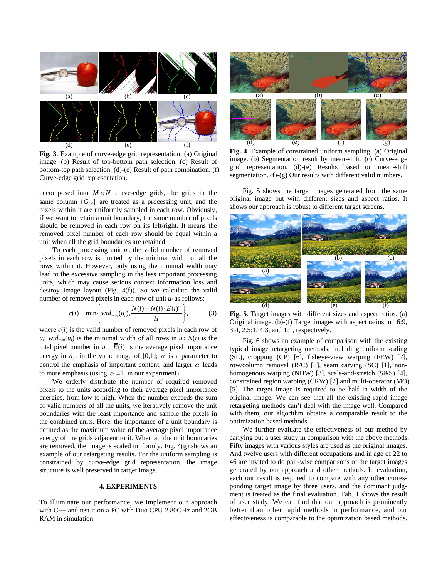

**Fig. 3**. Example of curve-edge grid representation. (a) Original image. (b) Result of top-bottom path selection. (c) Result of bottom-top path selection. (d)-(e) Result of path combination. (f) Curve-edge grid representation.

decomposed into  $M \times N$  curve-edge grids, the grids in the same column  ${G_{i}}$  are treated as a processing unit, and the pixels within it are uniformly sampled in each row. Obviously, if we want to retain a unit boundary, the same number of pixels should be removed in each row on its left/right. It means the removed pixel number of each row should be equal within a unit when all the grid boundaries are retained.

To each processing unit  $u_i$ , the valid number of removed pixels in each row is limited by the minimal width of all the rows within it. However, only using the minimal width may lead to the excessive sampling in the less important processing units, which may cause serious context information loss and destroy image layout (Fig. 4(f)). So we calculate the valid number of removed pixels in each row of unit *ui* as follows:

$$
c(i) = \min\left\{wid_{\min}(u_i), \frac{N(i) - N(i) \cdot \overline{E}(i)^{\alpha}}{H}\right\},\tag{3}
$$

where  $c(i)$  is the valid number of removed pixels in each row of  $u_i$ ; *wid*<sub>min</sub> $(u_i)$  is the minimal width of all rows in  $u_i$ ;  $N(i)$  is the total pixel number in  $u_i$ ;  $\overline{E}(i)$  is the average pixel importance energy in  $u_i$ , in the value range of [0,1];  $\alpha$  is a parameter to control the emphasis of important content, and larger  $\alpha$  leads to more emphasis (using  $\alpha = 1$  in our experiment).

We orderly distribute the number of required removed pixels to the units according to their average pixel importance energies, from low to high. When the number exceeds the sum of valid numbers of all the units, we iteratively remove the unit boundaries with the least importance and sample the pixels in the combined units. Here, the importance of a unit boundary is defined as the maximum value of the average pixel importance energy of the grids adjacent to it. When all the unit boundaries are removed, the image is scaled uniformly. Fig. 4(g) shows an example of our retargeting results. For the uniform sampling is constrained by curve-edge grid representation, the image structure is well preserved in target image.

## **4. EXPERIMENTS**

To illuminate our performance, we implement our approach with C++ and test it on a PC with Duo CPU 2.80GHz and 2GB RAM in simulation.



**Fig. 4**. Example of constrained uniform sampling. (a) Original image. (b) Segmentation result by mean-shift. (c) Curve-edge grid representation. (d)-(e) Results based on mean-shift segmentation. (f)-(g) Our results with different valid numbers.

Fig. 5 shows the target images generated from the same original image but with different sizes and aspect ratios. It shows our approach is robust to different target screens.



**Fig. 5**. Target images with different sizes and aspect ratios. (a) Original image. (b)-(f) Target images with aspect ratios in 16:9, 3:4, 2.5:1, 4:3, and 1:1, respectively.

Fig. 6 shows an example of comparison with the existing typical image retargeting methods, including uniform scaling (SL), cropping (CP) [6], fisheye-view warping (FEW) [7], row/column removal (R/C) [8], seam carving (SC) [1], nonhomogenous warping (NHW) [3], scale-and-stretch (S&S) [4], constrained region warping (CRW) [2] and multi-operator (MO) [5]. The target image is required to be half in width of the original image. We can see that all the existing rapid image retargeting methods can't deal with the image well. Compared with them, our algorithm obtains a comparable result to the optimization based methods.

We further evaluate the effectiveness of our method by carrying out a user study in comparison with the above methods. Fifty images with various styles are used as the original images. And twelve users with different occupations and in age of 22 to 46 are invited to do pair-wise comparisons of the target images generated by our approach and other methods. In evaluation, each our result is required to compare with any other corresponding target image by three users, and the dominant judgment is treated as the final evaluation. Tab. 1 shows the result of user study. We can find that our approach is prominently better than other rapid methods in performance, and our effectiveness is comparable to the optimization based methods.